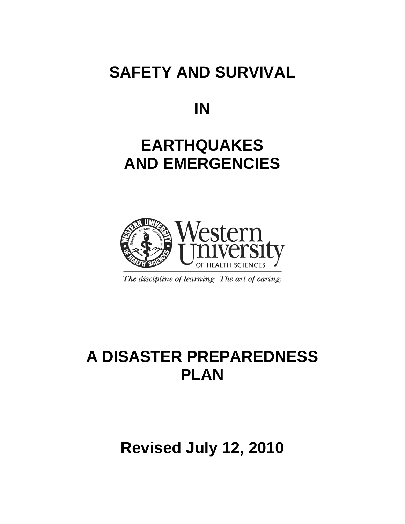# **SAFETY AND SURVIVAL**

**IN** 

# **EARTHQUAKES AND EMERGENCIES**



The discipline of learning. The art of caring.

# **A DISASTER PREPAREDNESS PLAN**

**Revised July 12, 2010**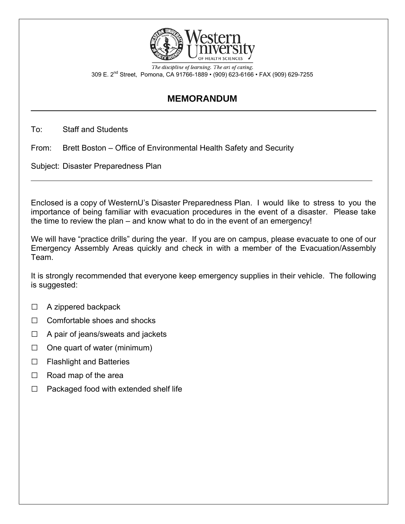

The discipline of learning. The art of caring. 309 E. 2nd Street, Pomona, CA 91766-1889 • (909) 623-6166 • FAX (909) 629-7255

# **MEMORANDUM**

To: Staff and Students

From: Brett Boston – Office of Environmental Health Safety and Security

Subject: Disaster Preparedness Plan

 Enclosed is a copy of WesternU's Disaster Preparedness Plan. I would like to stress to you the importance of being familiar with evacuation procedures in the event of a disaster. Please take the time to review the plan – and know what to do in the event of an emergency!

 We will have "practice drills" during the year. If you are on campus, please evacuate to one of our Emergency Assembly Areas quickly and check in with a member of the Evacuation/Assembly Team.

 It is strongly recommended that everyone keep emergency supplies in their vehicle. The following is suggested:

- $\Box$  A zippered backpack
- □ Comfortable shoes and shocks
- $\Box$  A pair of jeans/sweats and jackets
- $\Box$  One quart of water (minimum)
- □ Flashlight and Batteries
- $\Box$  Road map of the area

 $\overline{\phantom{a}}$ 

□ Packaged food with extended shelf life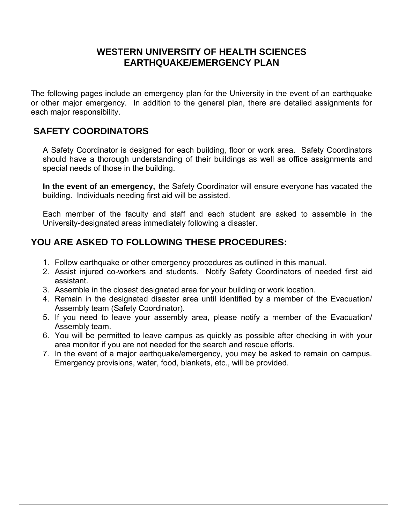## **WESTERN UNIVERSITY OF HEALTH SCIENCES EARTHQUAKE/EMERGENCY PLAN**

The following pages include an emergency plan for the University in the event of an earthquake or other major emergency. In addition to the general plan, there are detailed assignments for each major responsibility.

# **SAFETY COORDINATORS**

A Safety Coordinator is designed for each building, floor or work area. Safety Coordinators should have a thorough understanding of their buildings as well as office assignments and special needs of those in the building.

**In the event of an emergency,** the Safety Coordinator will ensure everyone has vacated the building. Individuals needing first aid will be assisted.

Each member of the faculty and staff and each student are asked to assemble in the University-designated areas immediately following a disaster.

# **YOU ARE ASKED TO FOLLOWING THESE PROCEDURES:**

- 1. Follow earthquake or other emergency procedures as outlined in this manual.
- 2. Assist injured co-workers and students. Notify Safety Coordinators of needed first aid assistant.
- 3. Assemble in the closest designated area for your building or work location.
- 4. Remain in the designated disaster area until identified by a member of the Evacuation/ Assembly team (Safety Coordinator).
- 5. If you need to leave your assembly area, please notify a member of the Evacuation/ Assembly team.
- 6. You will be permitted to leave campus as quickly as possible after checking in with your area monitor if you are not needed for the search and rescue efforts.
- 7. In the event of a major earthquake/emergency, you may be asked to remain on campus. Emergency provisions, water, food, blankets, etc., will be provided.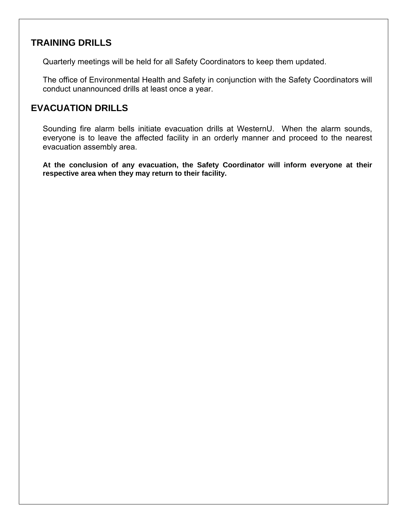# **TRAINING DRILLS**

Quarterly meetings will be held for all Safety Coordinators to keep them updated.

The office of Environmental Health and Safety in conjunction with the Safety Coordinators will conduct unannounced drills at least once a year.

# **EVACUATION DRILLS**

Sounding fire alarm bells initiate evacuation drills at WesternU. When the alarm sounds, everyone is to leave the affected facility in an orderly manner and proceed to the nearest evacuation assembly area.

**At the conclusion of any evacuation, the Safety Coordinator will inform everyone at their respective area when they may return to their facility.**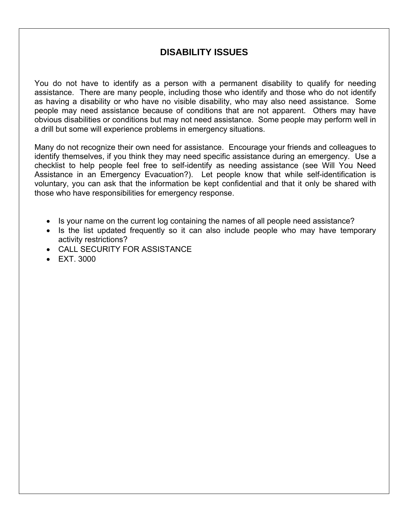# **DISABILITY ISSUES**

You do not have to identify as a person with a permanent disability to qualify for needing assistance. There are many people, including those who identify and those who do not identify as having a disability or who have no visible disability, who may also need assistance. Some people may need assistance because of conditions that are not apparent. Others may have obvious disabilities or conditions but may not need assistance. Some people may perform well in a drill but some will experience problems in emergency situations.

Many do not recognize their own need for assistance. Encourage your friends and colleagues to identify themselves, if you think they may need specific assistance during an emergency. Use a checklist to help people feel free to self-identify as needing assistance (see Will You Need Assistance in an Emergency Evacuation?). Let people know that while self-identification is voluntary, you can ask that the information be kept confidential and that it only be shared with those who have responsibilities for emergency response.

- Is your name on the current log containing the names of all people need assistance?
- Is the list updated frequently so it can also include people who may have temporary activity restrictions?
- CALL SECURITY FOR ASSISTANCE
- EXT. 3000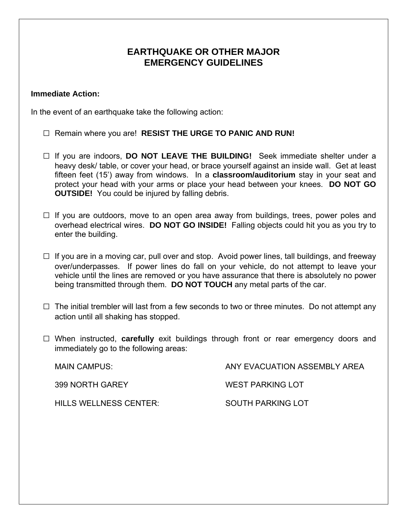## **EARTHQUAKE OR OTHER MAJOR EMERGENCY GUIDELINES**

#### **Immediate Action:**

In the event of an earthquake take the following action:

- □ Remain where you are! **RESIST THE URGE TO PANIC AND RUN!**
- □ If you are indoors, **DO NOT LEAVE THE BUILDING!** Seek immediate shelter under a heavy desk/ table, or cover your head, or brace yourself against an inside wall. Get at least fifteen feet (15') away from windows. In a **classroom/auditorium** stay in your seat and protect your head with your arms or place your head between your knees. **DO NOT GO OUTSIDE!** You could be injured by falling debris.
- $\Box$  If you are outdoors, move to an open area away from buildings, trees, power poles and overhead electrical wires. **DO NOT GO INSIDE!** Falling objects could hit you as you try to enter the building.
- $\Box$  If you are in a moving car, pull over and stop. Avoid power lines, tall buildings, and freeway over/underpasses. If power lines do fall on your vehicle, do not attempt to leave your vehicle until the lines are removed or you have assurance that there is absolutely no power being transmitted through them. **DO NOT TOUCH** any metal parts of the car.
- $\Box$  The initial trembler will last from a few seconds to two or three minutes. Do not attempt any action until all shaking has stopped.
- □ When instructed, **carefully** exit buildings through front or rear emergency doors and immediately go to the following areas:

| MAIN CAMPUS:           | ANY EVACUATION ASSEMBLY AREA |
|------------------------|------------------------------|
| 399 NORTH GAREY        | <b>WEST PARKING LOT</b>      |
| HILLS WELLNESS CENTER: | SOUTH PARKING LOT            |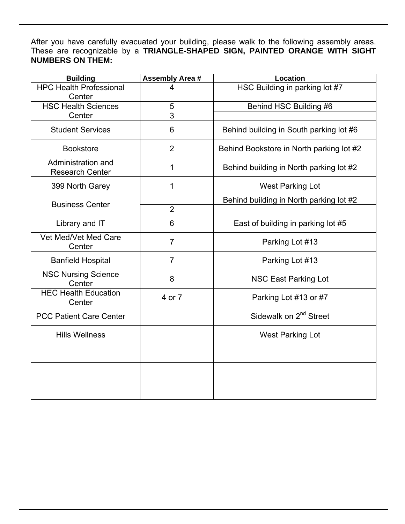After you have carefully evacuated your building, please walk to the following assembly areas. These are recognizable by a **TRIANGLE-SHAPED SIGN, PAINTED ORANGE WITH SIGHT NUMBERS ON THEM:**

| <b>Building</b>                              | <b>Assembly Area #</b> | <b>Location</b>                          |
|----------------------------------------------|------------------------|------------------------------------------|
| <b>HPC Health Professional</b>               | 4                      | HSC Building in parking lot #7           |
| Center                                       |                        |                                          |
| <b>HSC Health Sciences</b>                   | 5                      | Behind HSC Building #6                   |
| Center                                       | 3                      |                                          |
| <b>Student Services</b>                      | 6                      | Behind building in South parking lot #6  |
| <b>Bookstore</b>                             | $\overline{2}$         | Behind Bookstore in North parking lot #2 |
| Administration and<br><b>Research Center</b> | 1                      | Behind building in North parking lot #2  |
| 399 North Garey                              | 1                      | <b>West Parking Lot</b>                  |
|                                              |                        | Behind building in North parking lot #2  |
| <b>Business Center</b>                       | $\overline{2}$         |                                          |
| Library and IT                               | 6                      | East of building in parking lot #5       |
| Vet Med/Vet Med Care<br>Center               | $\overline{7}$         | Parking Lot #13                          |
| <b>Banfield Hospital</b>                     | $\overline{7}$         | Parking Lot #13                          |
| <b>NSC Nursing Science</b><br>Center         | 8                      | <b>NSC East Parking Lot</b>              |
| <b>HEC Health Education</b><br>Center        | 4 or 7                 | Parking Lot #13 or #7                    |
| <b>PCC Patient Care Center</b>               |                        | Sidewalk on 2 <sup>nd</sup> Street       |
| <b>Hills Wellness</b>                        |                        | West Parking Lot                         |
|                                              |                        |                                          |
|                                              |                        |                                          |
|                                              |                        |                                          |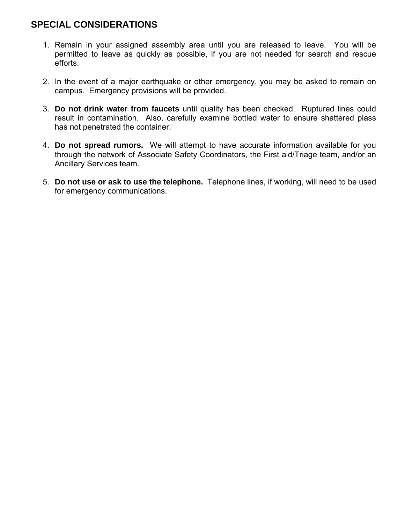# **SPECIAL CONSIDERATIONS**

- 1. Remain in your assigned assembly area until you are released to leave. You will be permitted to leave as quickly as possible, if you are not needed for search and rescue efforts.
- 2. In the event of a major earthquake or other emergency, you may be asked to remain on campus. Emergency provisions will be provided.
- 3. **Do not drink water from faucets** until quality has been checked. Ruptured lines could result in contamination. Also, carefully examine bottled water to ensure shattered plass has not penetrated the container.
- 4. **Do not spread rumors.** We will attempt to have accurate information available for you through the network of Associate Safety Coordinators, the First aid/Triage team, and/or an Ancillary Services team.
- 5. **Do not use or ask to use the telephone.** Telephone lines, if working, will need to be used for emergency communications.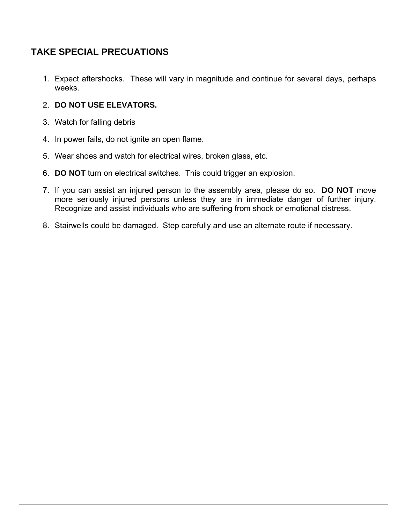# **TAKE SPECIAL PRECUATIONS**

1. Expect aftershocks. These will vary in magnitude and continue for several days, perhaps weeks.

#### 2. **DO NOT USE ELEVATORS.**

- 3. Watch for falling debris
- 4. In power fails, do not ignite an open flame.
- 5. Wear shoes and watch for electrical wires, broken glass, etc.
- 6. **DO NOT** turn on electrical switches. This could trigger an explosion.
- 7. If you can assist an injured person to the assembly area, please do so. **DO NOT** move more seriously injured persons unless they are in immediate danger of further injury. Recognize and assist individuals who are suffering from shock or emotional distress.
- 8. Stairwells could be damaged. Step carefully and use an alternate route if necessary.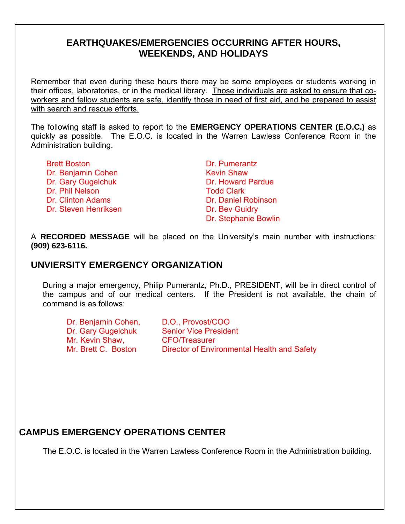## **EARTHQUAKES/EMERGENCIES OCCURRING AFTER HOURS, WEEKENDS, AND HOLIDAYS**

Remember that even during these hours there may be some employees or students working in their offices, laboratories, or in the medical library. Those individuals are asked to ensure that coworkers and fellow students are safe, identify those in need of first aid, and be prepared to assist with search and rescue efforts.

The following staff is asked to report to the **EMERGENCY OPERATIONS CENTER (E.O.C.)** as quickly as possible. The E.O.C. is located in the Warren Lawless Conference Room in the Administration building.

Brett Boston **Dr. Pumerantz** Dr. Benjamin Cohen News Alexin Shaw Dr. Gary Gugelchuk Dr. Howard Pardue Dr. Phil Nelson Todd Clark Dr. Clinton Adams **Dr. Daniel Robinson** Dr. Steven Henriksen Dr. Bev Guidry

Dr. Stephanie Bowlin

A **RECORDED MESSAGE** will be placed on the University's main number with instructions: **(909) 623-6116.**

## **UNVIERSITY EMERGENCY ORGANIZATION**

 During a major emergency, Philip Pumerantz, Ph.D., PRESIDENT, will be in direct control of the campus and of our medical centers. If the President is not available, the chain of command is as follows:

Dr. Benjamin Cohen, D.O., Provost/COO Mr. Kevin Shaw, CFO/Treasurer

Dr. Gary Gugelchuk Senior Vice President Mr. Brett C. Boston Director of Environmental Health and Safety

# **CAMPUS EMERGENCY OPERATIONS CENTER**

The E.O.C. is located in the Warren Lawless Conference Room in the Administration building.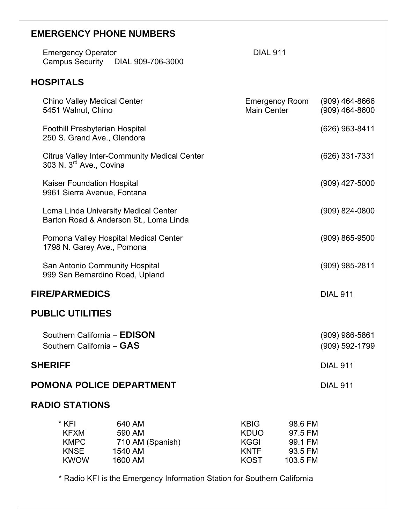# **EMERGENCY PHONE NUMBERS**

Emergency Operator **DIAL 911** Campus Security DIAL 909-706-3000

# **HOSPITALS**

| <b>Chino Valley Medical Center</b><br>5451 Walnut, Chino             |                                                                                | <b>Emergency Room</b><br><b>Main Center</b>                             |                                                      | $(909)$ 464-8666<br>$(909)$ 464-8600 |
|----------------------------------------------------------------------|--------------------------------------------------------------------------------|-------------------------------------------------------------------------|------------------------------------------------------|--------------------------------------|
| <b>Foothill Presbyterian Hospital</b><br>250 S. Grand Ave., Glendora |                                                                                |                                                                         |                                                      | $(626)$ 963-8411                     |
| 303 N. 3 <sup>rd</sup> Ave., Covina                                  | <b>Citrus Valley Inter-Community Medical Center</b>                            |                                                                         |                                                      | (626) 331-7331                       |
| <b>Kaiser Foundation Hospital</b><br>9961 Sierra Avenue, Fontana     |                                                                                |                                                                         |                                                      | (909) 427-5000                       |
|                                                                      | Loma Linda University Medical Center<br>Barton Road & Anderson St., Loma Linda |                                                                         |                                                      | $(909)$ 824-0800                     |
| 1798 N. Garey Ave., Pomona                                           | Pomona Valley Hospital Medical Center                                          |                                                                         |                                                      | $(909) 865 - 9500$                   |
| San Antonio Community Hospital<br>999 San Bernardino Road, Upland    |                                                                                |                                                                         |                                                      | $(909)$ 985-2811                     |
| <b>FIRE/PARMEDICS</b>                                                |                                                                                |                                                                         |                                                      | <b>DIAL 911</b>                      |
| <b>PUBLIC UTILITIES</b>                                              |                                                                                |                                                                         |                                                      |                                      |
| Southern California - EDISON<br>Southern California - GAS            |                                                                                |                                                                         |                                                      | $(909)$ 986-5861<br>(909) 592-1799   |
| <b>SHERIFF</b>                                                       |                                                                                |                                                                         |                                                      | <b>DIAL 911</b>                      |
|                                                                      | <b>POMONA POLICE DEPARTMENT</b>                                                |                                                                         |                                                      | <b>DIAL 911</b>                      |
| <b>RADIO STATIONS</b>                                                |                                                                                |                                                                         |                                                      |                                      |
| * KFI<br><b>KFXM</b><br><b>KMPC</b><br><b>KNSE</b><br><b>KWOW</b>    | 640 AM<br>590 AM<br>710 AM (Spanish)<br>1540 AM<br>1600 AM                     | <b>KBIG</b><br><b>KDUO</b><br><b>KGGI</b><br><b>KNTF</b><br><b>KOST</b> | 98.6 FM<br>97.5 FM<br>99.1 FM<br>93.5 FM<br>103.5 FM |                                      |

\* Radio KFI is the Emergency Information Station for Southern California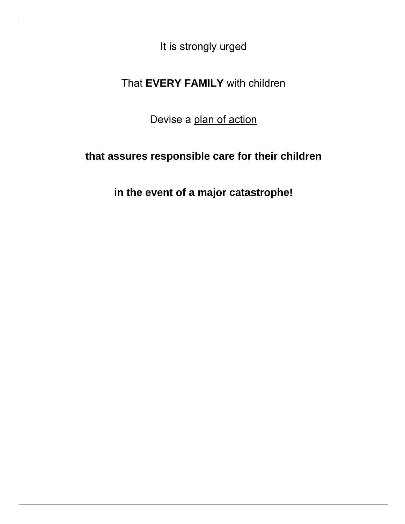It is strongly urged

That **EVERY FAMILY** with children

Devise a plan of action

**that assures responsible care for their children** 

**in the event of a major catastrophe!**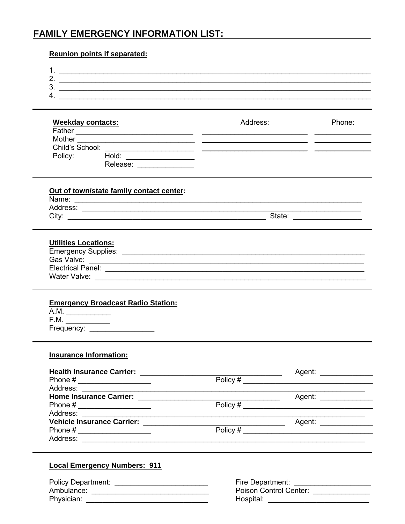# **FAMILY EMERGENCY INFORMATION LIST:**

#### **Reunion points if separated:**

| ,  |  |
|----|--|
| £  |  |
| 4. |  |
|    |  |

| <b>Weekday contacts:</b><br>Father |          | Address: | Phone: |
|------------------------------------|----------|----------|--------|
| Mother                             |          |          |        |
| Child's School:                    |          |          |        |
| Policy:                            | Hold:    |          |        |
|                                    | Release: |          |        |
|                                    |          |          |        |

#### Out of town/state family contact center:

| Name:    |        |
|----------|--------|
| Address: |        |
| City:    | State: |
|          |        |

#### **Utilities Locations:**

| <b>Emergency Supplies:</b> |  |
|----------------------------|--|
| Gas Valve:                 |  |
| <b>Electrical Panel:</b>   |  |
| Water Valve:               |  |

|            | <b>Emergency Broadcast Radio Station:</b> |
|------------|-------------------------------------------|
| A.M.       |                                           |
| F.M.       |                                           |
| Frequency: |                                           |

#### **Insurance Information:**

|                                |                                | Agent: 2008                         |  |
|--------------------------------|--------------------------------|-------------------------------------|--|
| Phone # ______________________ |                                |                                     |  |
|                                |                                |                                     |  |
|                                |                                | Agent: _____________                |  |
|                                |                                | Policy # __________________________ |  |
|                                |                                |                                     |  |
|                                |                                | Agent: _____________                |  |
| Phone # ______________________ | Policy # _____________________ |                                     |  |
| Address:                       |                                |                                     |  |

#### **Local Emergency Numbers: 911**

| <b>Policy Department:</b> |  |
|---------------------------|--|
| Ambulance:                |  |
| Physician:                |  |

| Fire Department:       |  |
|------------------------|--|
| Poison Control Center: |  |
| Hospital:              |  |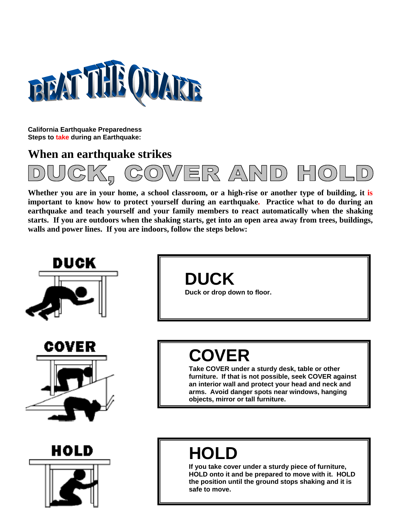

**California Earthquake Preparedness Steps to take during an Earthquake:** 

# **When an earthquake strikes**



**Whether you are in your home, a school classroom, or a high-rise or another type of building, it is important to know how to protect yourself during an earthquake. Practice what to do during an earthquake and teach yourself and your family members to react automatically when the shaking starts. If you are outdoors when the shaking starts, get into an open area away from trees, buildings, walls and power lines. If you are indoors, follow the steps below:** 







**DUCK** 

**Duck or drop down to floor.**

# **COVER**

**Take COVER under a sturdy desk, table or other furniture. If that is not possible, seek COVER against an interior wall and protect your head and neck and arms. Avoid danger spots near windows, hanging objects, mirror or tall furniture.**

# **HOLD**

**If you take cover under a sturdy piece of furniture, HOLD onto it and be prepared to move with it. HOLD the position until the ground stops shaking and it is safe to move.**